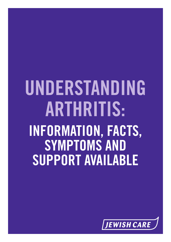# **UNDERSTANDING ARTHRITIS: INFORMATION, FACTS, SYMPTOMS AND SUPPORT AVAILABLE**

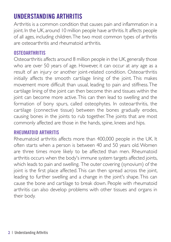# **UNDERSTANDING ARTHRITIS**

Arthritis is a common condition that causes pain and inflammation in a joint. In the UK, around 10 million people have arthritis. It affects people of all ages, including children.The two most common types of arthritis are osteoarthritis and rheumatoid arthritis.

#### **OSTEOARTHRITIS**

Osteoarthritis affects around 8 million people in the UK, generally those who are over 50 years of age. However, it can occur at any age as a result of an injury or another joint-related condition. Osteoarthritis initially affects the smooth cartilage lining of the joint. This makes movement more difficult than usual, leading to pain and stiffness.The cartilage lining of the joint can then become thin and tissues within the joint can become more active.This can then lead to swelling and the formation of bony spurs, called osteophytes. In osteoarthritis, the cartilage (connective tissue) between the bones gradually erodes, causing bones in the joints to rub together.The joints that are most commonly affected are those in the hands, spine, knees and hips.

#### **RHEUMATOID ARTHRITIS**

Rheumatoid arthritis affects more than 400,000 people in the UK. It often starts when a person is between 40 and 50 years old.Women are three times more likely to be affected than men. Rheumatoid arthritis occurs when the body's immune system targets affected joints, which leads to pain and swelling. The outer covering (synovium) of the joint is the first place affected. This can then spread across the joint, leading to further swelling and a change in the joint's shape.This can cause the bone and cartilage to break down. People with rheumatoid arthritis can also develop problems with other tissues and organs in their body.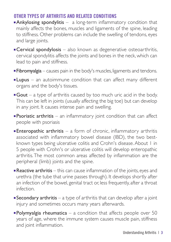## **OTHER TYPES OF ARTHRITIS AND RELATED CONDITIONS**

- $\blacksquare$  Ankylosing spondylitis  $-$  a long-term inflammatory condition that mainly affects the bones, muscles and ligaments of the spine, leading to stiffness. Other problems can include the swelling of tendons, eyes and large joints.
- $\blacksquare$  Cervical spondylosis also known as degenerative osteoarthritis, cervical spondylitis affects the joints and bones in the neck, which can lead to pain and stiffness.
- **Fibromyalgia** causes pain in the body's muscles, ligaments and tendons.
- **Lupus** an autoimmune condition that can affect many different organs and the body's tissues.
- **Gout** a type of arthritis caused by too much uric acid in the body. This can be left in joints (usually affecting the big toe) but can develop in any joint. It causes intense pain and swelling.
- **Psoriatic arthritis** an inflammatory joint condition that can affect people with psoriasis
- **Enteropathic arthritis** a form of chronic, inflammatory arthritis associated with inflammatory bowel disease (IBD), the two bestknown types being ulcerative colitis and Crohn's disease.About 1 in 5 people with Crohn's or ulcerative colitis will develop enteropathic arthritis.The most common areas affected by inflammation are the peripheral (limb) joints and the spine.
- **Reactive arthritis** this can cause inflammation of the joints, eyes and urethra (the tube that urine passes through). It develops shortly after an infection of the bowel, genital tract or, less frequently, after a throat infection.
- **Secondary arthritis** a type of arthritis that can develop after a joint injury and sometimes occurs many years afterwards.
- **Polymyalgia rheumatica** a condition that affects people over 50 years of age, where the immune system causes muscle pain, stiffness and joint inflammation.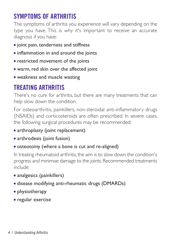# **SYMPTOMS OF ARTHRITIS**

The symptoms of arthritis you experience will vary depending on the type you have. This is why it's important to receive an accurate diagnosis if you have:

- **n** joint pain, tenderness and stiffness
- $\blacksquare$  inflammation in and around the joints
- $\blacksquare$  restricted movement of the joints
- **n** warm, red skin over the affected joint
- **E** weakness and muscle wasting

# **TREATING ARTHRITIS**

There's no cure for arthritis, but there are many treatments that can help slow down the condition.

For osteoarthritis, painkillers, non-steroidal anti-inflammatory drugs (NSAIDs) and corticosteroids are often prescribed. In severe cases, the following surgical procedures may be recommended:

- n arthroplasty (joint replacement)
- n arthrodesis (joint fusion)

## **s** osteotomy (where a bone is cut and re-aligned)

In treating rheumatoid arthritis, the aim is to slow down the condition's progress and minimise damage to the joints. Recommended treatments include:

- n analgesics (painkillers)
- disease modifying anti-rheumatic drugs (DMARDs)
- $\blacksquare$  physiotherapy
- $r$  regular exercise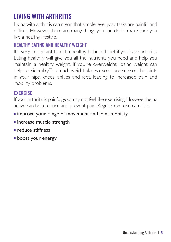# **LIVING WITH ARTHRITIS**

Living with arthritis can mean that simple, everyday tasks are painful and difficult. However, there are many things you can do to make sure you live a healthy lifestyle.

## **HEALTHY EATING AND HEALTHY WEIGHT**

It's very important to eat a healthy, balanced diet if you have arthritis. Eating healthily will give you all the nutrients you need and help you maintain a healthy weight. If you're overweight, losing weight can help considerably.Too much weight places excess pressure on the joints in your hips, knees, ankles and feet, leading to increased pain and mobility problems.

## **EXERCISE**

If your arthritis is painful, you may not feel like exercising.However, being active can help reduce and prevent pain. Regular exercise can also:

## **n** improve your range of movement and joint mobility

- $n$  increase muscle strength
- n reduce stiffness
- **boost your energy**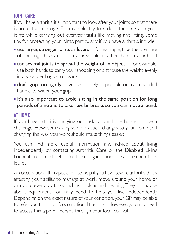# **JOINT CARE**

If you have arthritis, it's important to look after your joints so that there is no further damage. For example, try to reduce the stress on your joints while carrying out everyday tasks like moving and lifting. Some tips for protecting your joints, particularly if you have arthritis, include:

- **use larger, stronger joints as levers**  $-$  for example, take the pressure of opening a heavy door on your shoulder rather than on your hand
- **use several joints to spread the weight of an object**  $-$  for example, use both hands to carry your shopping or distribute the weight evenly in a shoulder bag or rucksack
- **don't grip too tightly** grip as loosely as possible or use a padded handle to widen your grip
- $\blacksquare$  It's also important to avoid sitting in the same position for long periods of time and to take regular breaks so you can move around.

#### **AT HOME**

If you have arthritis, carrying out tasks around the home can be a challenge. However, making some practical changes to your home and changing the way you work should make things easier.

You can find more useful information and advice about living independently by contacting Arthritis Care or the Disabled Living Foundation, contact details for these organisations are at the end of this leaflet.

An occupational therapist can also help if you have severe arthritis that's affecting your ability to manage at work, move around your home or carry out everyday tasks, such as cooking and cleaning. They can advise about equipment you may need to help you live independently. Depending on the exact nature of your condition, your GP may be able to refer you to an NHS occupational therapist. However, you may need to access this type of therapy through your local council.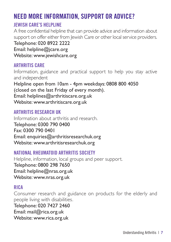# **NEED MORE INFORMATION, SUPPORT OR ADVICE?**

# **JEWISH CARE'S HELPLINE**

A free confidential helpline that can provide advice and information about support on offer either from Jewish Care or other local service providers. Telephone: 020 8922 2222 Email: helpline@jcare.org

Website: www.jewishcare.org

#### **ARTHRITIS CARE**

Information, guidance and practical support to help you stay active and independent Helpline open from 10am - 4pm weekdays: 0808 800 4050 (closed on the last Friday of every month). Email: helplines@arthritiscare.org.uk Website: www.arthritiscare.org.uk

#### **ARTHRITIS RESEARCH UK**

Information about arthritis and research. Telephone: 0300 790 0400 Fax: 0300 790 0401 Email: enquiries@arthritisresearchuk.org Website: www.arthritisresearchuk.org

# **NATIONAL RHEUMATOID ARTHRITIS SOCIETY**

Helpline, information, local groups and peer support. Telephone: 0800 298 7650 Email: helpline@nras.org.uk Website: www.nras.org.uk

## **RICA**

Consumer research and guidance on products for the elderly and people living with disabilities.

Telephone: 020 7427 2460 Email: mail@rica.org.uk

Website: www.rica.org.uk